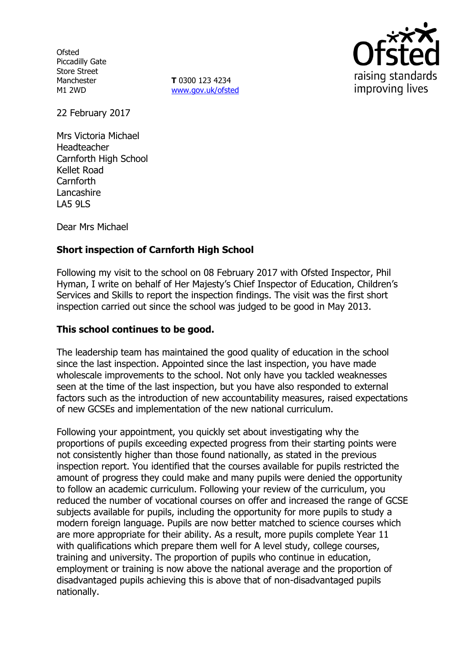**Ofsted** Piccadilly Gate Store Street Manchester M1 2WD

**T** 0300 123 4234 www.gov.uk/ofsted



22 February 2017

Mrs Victoria Michael Headteacher Carnforth High School Kellet Road Carnforth **Lancashire** LA5 9LS

Dear Mrs Michael

# **Short inspection of Carnforth High School**

Following my visit to the school on 08 February 2017 with Ofsted Inspector, Phil Hyman, I write on behalf of Her Majesty's Chief Inspector of Education, Children's Services and Skills to report the inspection findings. The visit was the first short inspection carried out since the school was judged to be good in May 2013.

### **This school continues to be good.**

The leadership team has maintained the good quality of education in the school since the last inspection. Appointed since the last inspection, you have made wholescale improvements to the school. Not only have you tackled weaknesses seen at the time of the last inspection, but you have also responded to external factors such as the introduction of new accountability measures, raised expectations of new GCSEs and implementation of the new national curriculum.

Following your appointment, you quickly set about investigating why the proportions of pupils exceeding expected progress from their starting points were not consistently higher than those found nationally, as stated in the previous inspection report. You identified that the courses available for pupils restricted the amount of progress they could make and many pupils were denied the opportunity to follow an academic curriculum. Following your review of the curriculum, you reduced the number of vocational courses on offer and increased the range of GCSE subjects available for pupils, including the opportunity for more pupils to study a modern foreign language. Pupils are now better matched to science courses which are more appropriate for their ability. As a result, more pupils complete Year 11 with qualifications which prepare them well for A level study, college courses, training and university. The proportion of pupils who continue in education, employment or training is now above the national average and the proportion of disadvantaged pupils achieving this is above that of non-disadvantaged pupils nationally.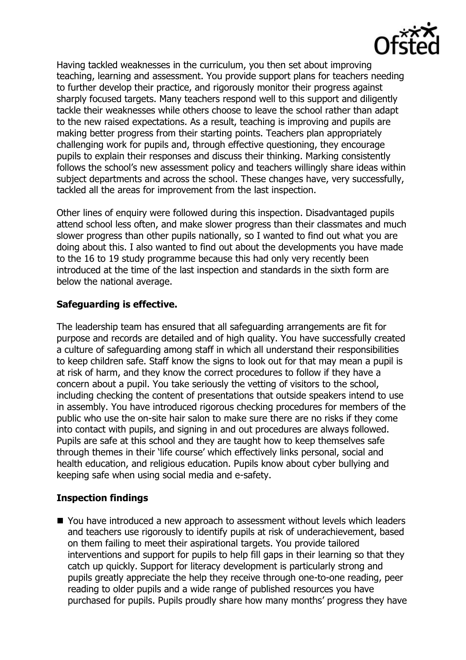

Having tackled weaknesses in the curriculum, you then set about improving teaching, learning and assessment. You provide support plans for teachers needing to further develop their practice, and rigorously monitor their progress against sharply focused targets. Many teachers respond well to this support and diligently tackle their weaknesses while others choose to leave the school rather than adapt to the new raised expectations. As a result, teaching is improving and pupils are making better progress from their starting points. Teachers plan appropriately challenging work for pupils and, through effective questioning, they encourage pupils to explain their responses and discuss their thinking. Marking consistently follows the school's new assessment policy and teachers willingly share ideas within subject departments and across the school. These changes have, very successfully, tackled all the areas for improvement from the last inspection.

Other lines of enquiry were followed during this inspection. Disadvantaged pupils attend school less often, and make slower progress than their classmates and much slower progress than other pupils nationally, so I wanted to find out what you are doing about this. I also wanted to find out about the developments you have made to the 16 to 19 study programme because this had only very recently been introduced at the time of the last inspection and standards in the sixth form are below the national average.

## **Safeguarding is effective.**

The leadership team has ensured that all safeguarding arrangements are fit for purpose and records are detailed and of high quality. You have successfully created a culture of safeguarding among staff in which all understand their responsibilities to keep children safe. Staff know the signs to look out for that may mean a pupil is at risk of harm, and they know the correct procedures to follow if they have a concern about a pupil. You take seriously the vetting of visitors to the school, including checking the content of presentations that outside speakers intend to use in assembly. You have introduced rigorous checking procedures for members of the public who use the on-site hair salon to make sure there are no risks if they come into contact with pupils, and signing in and out procedures are always followed. Pupils are safe at this school and they are taught how to keep themselves safe through themes in their 'life course' which effectively links personal, social and health education, and religious education. Pupils know about cyber bullying and keeping safe when using social media and e-safety.

#### **Inspection findings**

■ You have introduced a new approach to assessment without levels which leaders and teachers use rigorously to identify pupils at risk of underachievement, based on them failing to meet their aspirational targets. You provide tailored interventions and support for pupils to help fill gaps in their learning so that they catch up quickly. Support for literacy development is particularly strong and pupils greatly appreciate the help they receive through one-to-one reading, peer reading to older pupils and a wide range of published resources you have purchased for pupils. Pupils proudly share how many months' progress they have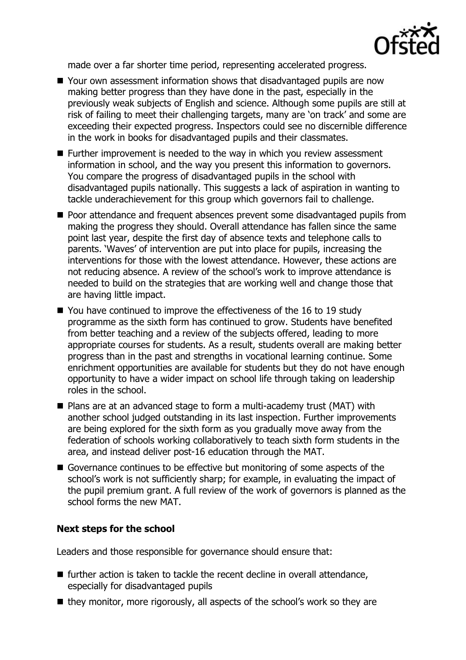

made over a far shorter time period, representing accelerated progress.

- Your own assessment information shows that disadvantaged pupils are now making better progress than they have done in the past, especially in the previously weak subjects of English and science. Although some pupils are still at risk of failing to meet their challenging targets, many are 'on track' and some are exceeding their expected progress. Inspectors could see no discernible difference in the work in books for disadvantaged pupils and their classmates.
- Further improvement is needed to the way in which you review assessment information in school, and the way you present this information to governors. You compare the progress of disadvantaged pupils in the school with disadvantaged pupils nationally. This suggests a lack of aspiration in wanting to tackle underachievement for this group which governors fail to challenge.
- Poor attendance and frequent absences prevent some disadvantaged pupils from making the progress they should. Overall attendance has fallen since the same point last year, despite the first day of absence texts and telephone calls to parents. 'Waves' of intervention are put into place for pupils, increasing the interventions for those with the lowest attendance. However, these actions are not reducing absence. A review of the school's work to improve attendance is needed to build on the strategies that are working well and change those that are having little impact.
- You have continued to improve the effectiveness of the 16 to 19 study programme as the sixth form has continued to grow. Students have benefited from better teaching and a review of the subjects offered, leading to more appropriate courses for students. As a result, students overall are making better progress than in the past and strengths in vocational learning continue. Some enrichment opportunities are available for students but they do not have enough opportunity to have a wider impact on school life through taking on leadership roles in the school.
- Plans are at an advanced stage to form a multi-academy trust (MAT) with another school judged outstanding in its last inspection. Further improvements are being explored for the sixth form as you gradually move away from the federation of schools working collaboratively to teach sixth form students in the area, and instead deliver post-16 education through the MAT.
- Governance continues to be effective but monitoring of some aspects of the school's work is not sufficiently sharp; for example, in evaluating the impact of the pupil premium grant. A full review of the work of governors is planned as the school forms the new MAT.

#### **Next steps for the school**

Leaders and those responsible for governance should ensure that:

- $\blacksquare$  further action is taken to tackle the recent decline in overall attendance, especially for disadvantaged pupils
- they monitor, more rigorously, all aspects of the school's work so they are